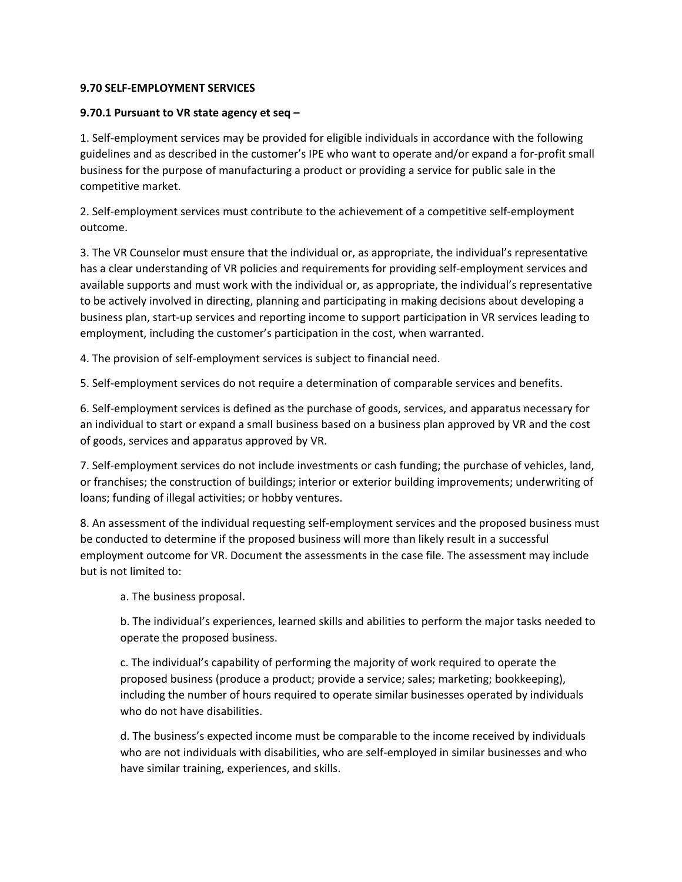## **9.70 SELF-EMPLOYMENT SERVICES**

## **9.70.1 Pursuant to VR state agency et seq –**

1. Self-employment services may be provided for eligible individuals in accordance with the following guidelines and as described in the customer's IPE who want to operate and/or expand a for-profit small business for the purpose of manufacturing a product or providing a service for public sale in the competitive market.

2. Self-employment services must contribute to the achievement of a competitive self-employment outcome.

3. The VR Counselor must ensure that the individual or, as appropriate, the individual's representative has a clear understanding of VR policies and requirements for providing self-employment services and available supports and must work with the individual or, as appropriate, the individual's representative to be actively involved in directing, planning and participating in making decisions about developing a business plan, start-up services and reporting income to support participation in VR services leading to employment, including the customer's participation in the cost, when warranted.

4. The provision of self-employment services is subject to financial need.

5. Self-employment services do not require a determination of comparable services and benefits.

6. Self-employment services is defined as the purchase of goods, services, and apparatus necessary for an individual to start or expand a small business based on a business plan approved by VR and the cost of goods, services and apparatus approved by VR.

7. Self-employment services do not include investments or cash funding; the purchase of vehicles, land, or franchises; the construction of buildings; interior or exterior building improvements; underwriting of loans; funding of illegal activities; or hobby ventures.

8. An assessment of the individual requesting self-employment services and the proposed business must be conducted to determine if the proposed business will more than likely result in a successful employment outcome for VR. Document the assessments in the case file. The assessment may include but is not limited to:

a. The business proposal.

b. The individual's experiences, learned skills and abilities to perform the major tasks needed to operate the proposed business.

c. The individual's capability of performing the majority of work required to operate the proposed business (produce a product; provide a service; sales; marketing; bookkeeping), including the number of hours required to operate similar businesses operated by individuals who do not have disabilities.

d. The business's expected income must be comparable to the income received by individuals who are not individuals with disabilities, who are self-employed in similar businesses and who have similar training, experiences, and skills.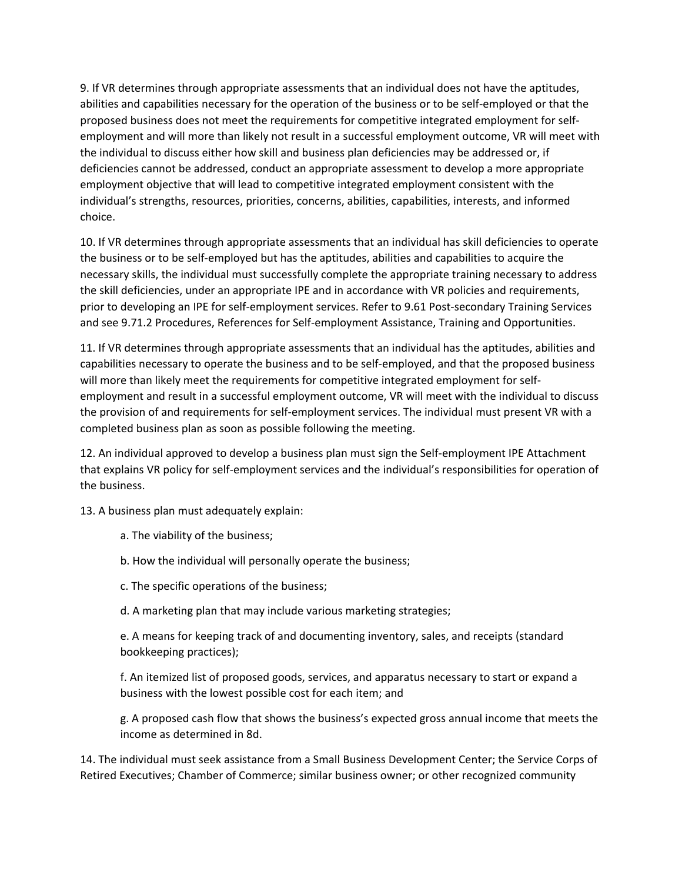9. If VR determines through appropriate assessments that an individual does not have the aptitudes, abilities and capabilities necessary for the operation of the business or to be self-employed or that the proposed business does not meet the requirements for competitive integrated employment for selfemployment and will more than likely not result in a successful employment outcome, VR will meet with the individual to discuss either how skill and business plan deficiencies may be addressed or, if deficiencies cannot be addressed, conduct an appropriate assessment to develop a more appropriate employment objective that will lead to competitive integrated employment consistent with the individual's strengths, resources, priorities, concerns, abilities, capabilities, interests, and informed choice.

10. If VR determines through appropriate assessments that an individual has skill deficiencies to operate the business or to be self-employed but has the aptitudes, abilities and capabilities to acquire the necessary skills, the individual must successfully complete the appropriate training necessary to address the skill deficiencies, under an appropriate IPE and in accordance with VR policies and requirements, prior to developing an IPE for self-employment services. Refer to 9.61 Post-secondary Training Services and see 9.71.2 Procedures, References for Self-employment Assistance, Training and Opportunities.

11. If VR determines through appropriate assessments that an individual has the aptitudes, abilities and capabilities necessary to operate the business and to be self-employed, and that the proposed business will more than likely meet the requirements for competitive integrated employment for selfemployment and result in a successful employment outcome, VR will meet with the individual to discuss the provision of and requirements for self-employment services. The individual must present VR with a completed business plan as soon as possible following the meeting.

12. An individual approved to develop a business plan must sign the Self-employment IPE Attachment that explains VR policy for self-employment services and the individual's responsibilities for operation of the business.

13. A business plan must adequately explain:

- a. The viability of the business;
- b. How the individual will personally operate the business;
- c. The specific operations of the business;
- d. A marketing plan that may include various marketing strategies;

e. A means for keeping track of and documenting inventory, sales, and receipts (standard bookkeeping practices);

f. An itemized list of proposed goods, services, and apparatus necessary to start or expand a business with the lowest possible cost for each item; and

g. A proposed cash flow that shows the business's expected gross annual income that meets the income as determined in 8d.

14. The individual must seek assistance from a Small Business Development Center; the Service Corps of Retired Executives; Chamber of Commerce; similar business owner; or other recognized community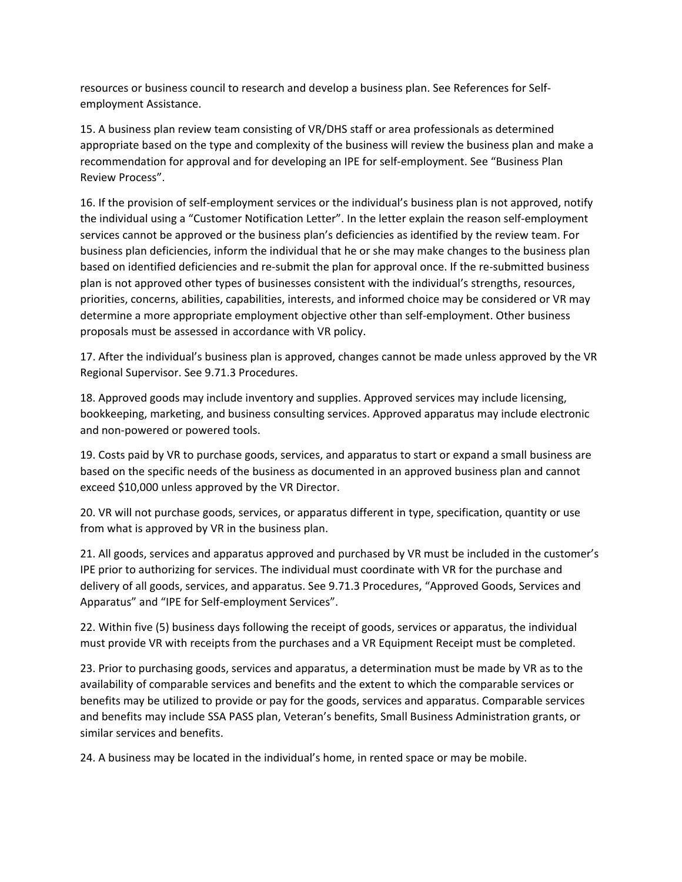resources or business council to research and develop a business plan. See References for Selfemployment Assistance.

15. A business plan review team consisting of VR/DHS staff or area professionals as determined appropriate based on the type and complexity of the business will review the business plan and make a recommendation for approval and for developing an IPE for self-employment. See "Business Plan Review Process".

16. If the provision of self-employment services or the individual's business plan is not approved, notify the individual using a "Customer Notification Letter". In the letter explain the reason self-employment services cannot be approved or the business plan's deficiencies as identified by the review team. For business plan deficiencies, inform the individual that he or she may make changes to the business plan based on identified deficiencies and re-submit the plan for approval once. If the re-submitted business plan is not approved other types of businesses consistent with the individual's strengths, resources, priorities, concerns, abilities, capabilities, interests, and informed choice may be considered or VR may determine a more appropriate employment objective other than self-employment. Other business proposals must be assessed in accordance with VR policy.

17. After the individual's business plan is approved, changes cannot be made unless approved by the VR Regional Supervisor. See 9.71.3 Procedures.

18. Approved goods may include inventory and supplies. Approved services may include licensing, bookkeeping, marketing, and business consulting services. Approved apparatus may include electronic and non-powered or powered tools.

19. Costs paid by VR to purchase goods, services, and apparatus to start or expand a small business are based on the specific needs of the business as documented in an approved business plan and cannot exceed \$10,000 unless approved by the VR Director.

20. VR will not purchase goods, services, or apparatus different in type, specification, quantity or use from what is approved by VR in the business plan.

21. All goods, services and apparatus approved and purchased by VR must be included in the customer's IPE prior to authorizing for services. The individual must coordinate with VR for the purchase and delivery of all goods, services, and apparatus. See 9.71.3 Procedures, "Approved Goods, Services and Apparatus" and "IPE for Self-employment Services".

22. Within five (5) business days following the receipt of goods, services or apparatus, the individual must provide VR with receipts from the purchases and a VR Equipment Receipt must be completed.

23. Prior to purchasing goods, services and apparatus, a determination must be made by VR as to the availability of comparable services and benefits and the extent to which the comparable services or benefits may be utilized to provide or pay for the goods, services and apparatus. Comparable services and benefits may include SSA PASS plan, Veteran's benefits, Small Business Administration grants, or similar services and benefits.

24. A business may be located in the individual's home, in rented space or may be mobile.